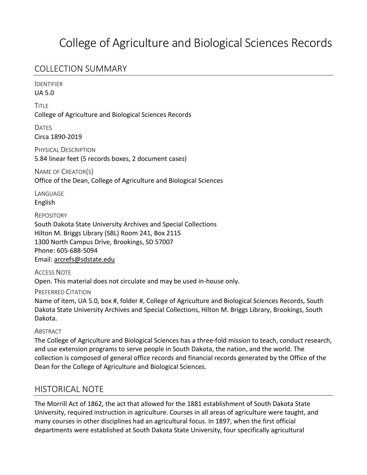# College of Agriculture and Biological Sciences Records

## COLLECTION SUMMARY

IDENTIFIER

UA 5.0

**TITLE** College of Agriculture and Biological Sciences Records

DATES Circa 1890-2019

PHYSICAL DESCRIPTION 5.84 linear feet (5 records boxes, 2 document cases)

NAME OF CREATOR(S) Office of the Dean, College of Agriculture and Biological Sciences

**LANGUAGE** English

REPOSITORY

South Dakota State University Archives and Special Collections Hilton M. Briggs Library (SBL) Room 241, Box 2115 1300 North Campus Drive, Brookings, SD 57007 Phone: 605-688-5094 Email: arcrefs@sdstate.edu

ACCESS NOTE Open. This material does not circulate and may be used in-house only.

PREFERRED CITATION

Name of item, UA 5.0, box #, folder #, College of Agriculture and Biological Sciences Records, South Dakota State University Archives and Special Collections, Hilton M. Briggs Library, Brookings, South Dakota.

**ABSTRACT** 

The College of Agriculture and Biological Sciences has a three-fold mission to teach, conduct research, and use extension programs to serve people in South Dakota, the nation, and the world. The collection is composed of general office records and financial records generated by the Office of the Dean for the College of Agriculture and Biological Sciences.

## HISTORICAL NOTE

The Morrill Act of 1862, the act that allowed for the 1881 establishment of South Dakota State University, required instruction in agriculture. Courses in all areas of agriculture were taught, and many courses in other disciplines had an agricultural focus. In 1897, when the first official departments were established at South Dakota State University, four specifically agricultural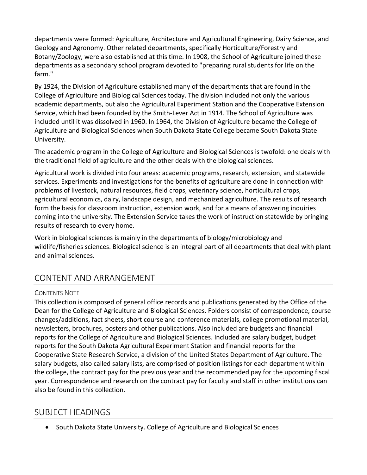departments were formed: Agriculture, Architecture and Agricultural Engineering, Dairy Science, and Geology and Agronomy. Other related departments, specifically Horticulture/Forestry and Botany/Zoology, were also established at this time. In 1908, the School of Agriculture joined these departments as a secondary school program devoted to "preparing rural students for life on the farm."

By 1924, the Division of Agriculture established many of the departments that are found in the College of Agriculture and Biological Sciences today. The division included not only the various academic departments, but also the Agricultural Experiment Station and the Cooperative Extension Service, which had been founded by the Smith-Lever Act in 1914. The School of Agriculture was included until it was dissolved in 1960. In 1964, the Division of Agriculture became the College of Agriculture and Biological Sciences when South Dakota State College became South Dakota State University.

The academic program in the College of Agriculture and Biological Sciences is twofold: one deals with the traditional field of agriculture and the other deals with the biological sciences.

Agricultural work is divided into four areas: academic programs, research, extension, and statewide services. Experiments and investigations for the benefits of agriculture are done in connection with problems of livestock, natural resources, field crops, veterinary science, horticultural crops, agricultural economics, dairy, landscape design, and mechanized agriculture. The results of research form the basis for classroom instruction, extension work, and for a means of answering inquiries coming into the university. The Extension Service takes the work of instruction statewide by bringing results of research to every home.

Work in biological sciences is mainly in the departments of biology/microbiology and wildlife/fisheries sciences. Biological science is an integral part of all departments that deal with plant and animal sciences.

## CONTENT AND ARRANGEMENT

#### CONTENTS NOTE

This collection is composed of general office records and publications generated by the Office of the Dean for the College of Agriculture and Biological Sciences. Folders consist of correspondence, course changes/additions, fact sheets, short course and conference materials, college promotional material, newsletters, brochures, posters and other publications. Also included are budgets and financial reports for the College of Agriculture and Biological Sciences. Included are salary budget, budget reports for the South Dakota Agricultural Experiment Station and financial reports for the Cooperative State Research Service, a division of the United States Department of Agriculture. The salary budgets, also called salary lists, are comprised of position listings for each department within the college, the contract pay for the previous year and the recommended pay for the upcoming fiscal year. Correspondence and research on the contract pay for faculty and staff in other institutions can also be found in this collection.

#### SUBJECT HEADINGS

• South Dakota State University. College of Agriculture and Biological Sciences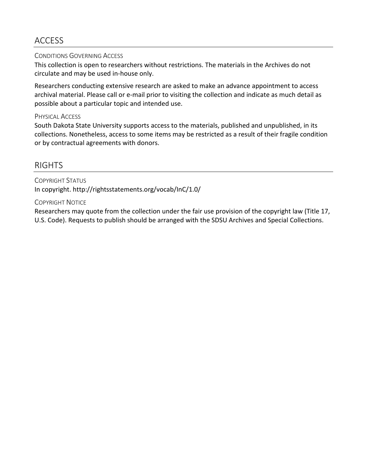## ACCESS

#### CONDITIONS GOVERNING ACCESS

This collection is open to researchers without restrictions. The materials in the Archives do not circulate and may be used in-house only.

Researchers conducting extensive research are asked to make an advance appointment to access archival material. Please call or e-mail prior to visiting the collection and indicate as much detail as possible about a particular topic and intended use.

#### PHYSICAL ACCESS

South Dakota State University supports access to the materials, published and unpublished, in its collections. Nonetheless, access to some items may be restricted as a result of their fragile condition or by contractual agreements with donors.

### RIGHTS

COPYRIGHT STATUS In copyright. http://rightsstatements.org/vocab/InC/1.0/

#### COPYRIGHT NOTICE

Researchers may quote from the collection under the fair use provision of the copyright law (Title 17, U.S. Code). Requests to publish should be arranged with the SDSU Archives and Special Collections.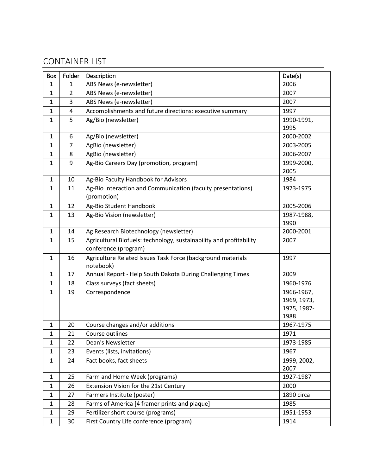# CONTAINER LIST

| Box          | Folder         | Description                                                         | Date(s)                   |
|--------------|----------------|---------------------------------------------------------------------|---------------------------|
| $\mathbf{1}$ | 1              | ABS News (e-newsletter)                                             | 2006                      |
| $\mathbf{1}$ | $\overline{2}$ | ABS News (e-newsletter)                                             | 2007                      |
| 1            | 3              | ABS News (e-newsletter)                                             | 2007                      |
| $\mathbf{1}$ | 4              | Accomplishments and future directions: executive summary            | 1997                      |
| $\mathbf{1}$ | 5              | Ag/Bio (newsletter)                                                 | 1990-1991,                |
|              |                |                                                                     | 1995                      |
| $\mathbf{1}$ | 6              | Ag/Bio (newsletter)                                                 | 2000-2002                 |
| $\mathbf{1}$ | 7              | AgBio (newsletter)                                                  | 2003-2005                 |
| $\mathbf{1}$ | 8              | AgBio (newsletter)                                                  | 2006-2007                 |
| $\mathbf{1}$ | 9              | Ag-Bio Careers Day (promotion, program)                             | 1999-2000,                |
|              |                |                                                                     | 2005                      |
| $\mathbf{1}$ | 10             | Ag-Bio Faculty Handbook for Advisors                                | 1984                      |
| $\mathbf{1}$ | 11             | Ag-Bio Interaction and Communication (faculty presentations)        | 1973-1975                 |
|              |                | (promotion)                                                         |                           |
| 1            | 12             | Ag-Bio Student Handbook                                             | 2005-2006                 |
| 1            | 13             | Ag-Bio Vision (newsletter)                                          | 1987-1988,                |
|              |                |                                                                     | 1990                      |
| $\mathbf{1}$ | 14             | Ag Research Biotechnology (newsletter)                              | 2000-2001                 |
| $\mathbf{1}$ | 15             | Agricultural Biofuels: technology, sustainability and profitability | 2007                      |
|              |                | conference (program)                                                |                           |
| $\mathbf{1}$ | 16             | Agriculture Related Issues Task Force (background materials         | 1997                      |
|              |                | notebook)                                                           |                           |
| $\mathbf{1}$ | 17             | Annual Report - Help South Dakota During Challenging Times          | 2009                      |
| $\mathbf{1}$ | 18             | Class surveys (fact sheets)                                         | 1960-1976                 |
| $\mathbf{1}$ | 19             | Correspondence                                                      | 1966-1967,<br>1969, 1973, |
|              |                |                                                                     | 1975, 1987-               |
|              |                |                                                                     | 1988                      |
| 1            | 20             | Course changes and/or additions                                     | 1967-1975                 |
| $\mathbf{1}$ | 21             | Course outlines                                                     | 1971                      |
| $\mathbf{1}$ | 22             | Dean's Newsletter                                                   | 1973-1985                 |
| $\mathbf{1}$ | 23             | Events (lists, invitations)                                         | 1967                      |
| $\mathbf{1}$ | 24             | Fact books, fact sheets                                             | 1999, 2002,               |
|              |                |                                                                     | 2007                      |
| $\mathbf{1}$ | 25             | Farm and Home Week (programs)                                       | 1927-1987                 |
| $\mathbf{1}$ | 26             | Extension Vision for the 21st Century                               | 2000                      |
| $\mathbf{1}$ | 27             | Farmers Institute (poster)                                          | 1890 circa                |
| $\mathbf{1}$ | 28             | Farms of America [4 framer prints and plaque]                       | 1985                      |
| $\mathbf{1}$ | 29             | Fertilizer short course (programs)                                  | 1951-1953                 |
| $\mathbf{1}$ | 30             | First Country Life conference (program)                             | 1914                      |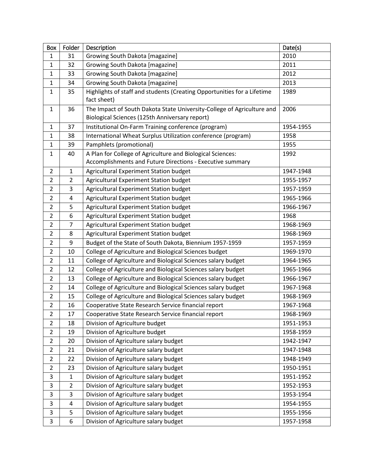| <b>Box</b>     | Folder                  | Description                                                                                                              | Date(s)   |
|----------------|-------------------------|--------------------------------------------------------------------------------------------------------------------------|-----------|
| 1              | 31                      | Growing South Dakota [magazine]                                                                                          | 2010      |
| $\mathbf{1}$   | 32                      | Growing South Dakota [magazine]                                                                                          | 2011      |
| $\mathbf{1}$   | 33                      | Growing South Dakota [magazine]                                                                                          | 2012      |
| $\mathbf{1}$   | 34                      | Growing South Dakota [magazine]                                                                                          | 2013      |
| $\mathbf{1}$   | 35                      | Highlights of staff and students (Creating Opportunities for a Lifetime<br>fact sheet)                                   | 1989      |
| $\mathbf{1}$   | 36                      | The Impact of South Dakota State University-College of Agriculture and<br>Biological Sciences (125th Anniversary report) | 2006      |
| $\mathbf{1}$   | 37                      | Institutional On-Farm Training conference (program)                                                                      | 1954-1955 |
| $\mathbf{1}$   | 38                      | International Wheat Surplus Utilization conference (program)                                                             | 1958      |
| $\mathbf{1}$   | 39                      | Pamphlets (promotional)                                                                                                  | 1955      |
| $\mathbf{1}$   | 40                      | A Plan for College of Agriculture and Biological Sciences:                                                               | 1992      |
|                |                         | Accomplishments and Future Directions - Executive summary                                                                |           |
| $\overline{2}$ | $\mathbf{1}$            | Agricultural Experiment Station budget                                                                                   | 1947-1948 |
| $\overline{2}$ | $\overline{2}$          | Agricultural Experiment Station budget                                                                                   | 1955-1957 |
| $\overline{2}$ | 3                       | Agricultural Experiment Station budget                                                                                   | 1957-1959 |
| $\overline{2}$ | $\overline{\mathbf{4}}$ | Agricultural Experiment Station budget                                                                                   | 1965-1966 |
| $\overline{2}$ | 5                       | Agricultural Experiment Station budget                                                                                   | 1966-1967 |
| $\overline{2}$ | 6                       | Agricultural Experiment Station budget                                                                                   | 1968      |
| $\overline{2}$ | $\overline{7}$          | Agricultural Experiment Station budget                                                                                   | 1968-1969 |
| $\overline{2}$ | 8                       | Agricultural Experiment Station budget                                                                                   | 1968-1969 |
| $\overline{2}$ | 9                       | Budget of the State of South Dakota, Biennium 1957-1959                                                                  | 1957-1959 |
| $\overline{2}$ | 10                      | College of Agriculture and Biological Sciences budget                                                                    | 1969-1970 |
| $\overline{2}$ | 11                      | College of Agriculture and Biological Sciences salary budget                                                             | 1964-1965 |
| $\overline{2}$ | 12                      | College of Agriculture and Biological Sciences salary budget                                                             | 1965-1966 |
| $\overline{2}$ | 13                      | College of Agriculture and Biological Sciences salary budget                                                             | 1966-1967 |
| $\overline{2}$ | 14                      | College of Agriculture and Biological Sciences salary budget                                                             | 1967-1968 |
| $\overline{2}$ | 15                      | College of Agriculture and Biological Sciences salary budget                                                             | 1968-1969 |
| $\overline{2}$ | 16                      | Cooperative State Research Service financial report                                                                      | 1967-1968 |
| 2              | 17                      | Cooperative State Research Service financial report                                                                      | 1968-1969 |
| $\overline{2}$ | 18                      | Division of Agriculture budget                                                                                           | 1951-1953 |
| $\overline{2}$ | 19                      | Division of Agriculture budget                                                                                           | 1958-1959 |
| $\overline{2}$ | 20                      | Division of Agriculture salary budget                                                                                    | 1942-1947 |
| $\overline{2}$ | 21                      | Division of Agriculture salary budget                                                                                    | 1947-1948 |
| $\overline{2}$ | 22                      | Division of Agriculture salary budget                                                                                    | 1948-1949 |
| $\overline{2}$ | 23                      | Division of Agriculture salary budget                                                                                    | 1950-1951 |
| 3              | $\mathbf{1}$            | Division of Agriculture salary budget                                                                                    | 1951-1952 |
| 3              | $\overline{2}$          | Division of Agriculture salary budget                                                                                    | 1952-1953 |
| 3              | 3                       | Division of Agriculture salary budget                                                                                    | 1953-1954 |
| 3              | 4                       | Division of Agriculture salary budget                                                                                    | 1954-1955 |
| 3              | 5                       | Division of Agriculture salary budget                                                                                    | 1955-1956 |
| 3              | $\boldsymbol{6}$        | Division of Agriculture salary budget                                                                                    | 1957-1958 |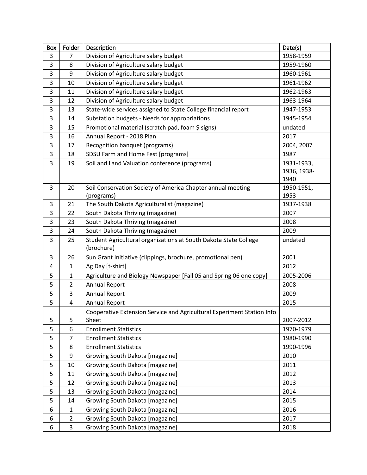| <b>Box</b> | Folder                  | Description                                                                    | Date(s)     |
|------------|-------------------------|--------------------------------------------------------------------------------|-------------|
| 3          | 7                       | Division of Agriculture salary budget                                          | 1958-1959   |
| 3          | 8                       | Division of Agriculture salary budget                                          | 1959-1960   |
| 3          | 9                       | Division of Agriculture salary budget                                          | 1960-1961   |
| 3          | 10                      | Division of Agriculture salary budget                                          | 1961-1962   |
| 3          | 11                      | Division of Agriculture salary budget                                          | 1962-1963   |
| 3          | 12                      | Division of Agriculture salary budget                                          | 1963-1964   |
| 3          | 13                      | State-wide services assigned to State College financial report                 | 1947-1953   |
| 3          | 14                      | Substation budgets - Needs for appropriations                                  | 1945-1954   |
| 3          | 15                      | Promotional material (scratch pad, foam \$ signs)                              | undated     |
| 3          | 16                      | Annual Report - 2018 Plan                                                      | 2017        |
| 3          | 17                      | Recognition banquet (programs)                                                 | 2004, 2007  |
| 3          | 18                      | SDSU Farm and Home Fest [programs]                                             | 1987        |
| 3          | 19                      | Soil and Land Valuation conference (programs)                                  | 1931-1933,  |
|            |                         |                                                                                | 1936, 1938- |
|            |                         |                                                                                | 1940        |
| 3          | 20                      | Soil Conservation Society of America Chapter annual meeting                    | 1950-1951,  |
|            |                         | (programs)                                                                     | 1953        |
| 3          | 21                      | The South Dakota Agriculturalist (magazine)                                    | 1937-1938   |
| 3          | 22                      | South Dakota Thriving (magazine)                                               | 2007        |
| 3          | 23                      | South Dakota Thriving (magazine)                                               | 2008        |
| 3          | 24                      | South Dakota Thriving (magazine)                                               | 2009        |
| 3          | 25                      | Student Agricultural organizations at South Dakota State College<br>(brochure) | undated     |
| 3          | 26                      | Sun Grant Initiative (clippings, brochure, promotional pen)                    | 2001        |
| 4          | $\mathbf{1}$            | Ag Day [t-shirt]                                                               | 2012        |
| 5          | 1                       | Agriculture and Biology Newspaper [Fall 05 and Spring 06 one copy]             | 2005-2006   |
| 5          | 2                       | <b>Annual Report</b>                                                           | 2008        |
| 5          | 3                       | <b>Annual Report</b>                                                           | 2009        |
| 5          | $\overline{\mathbf{4}}$ | <b>Annual Report</b>                                                           | 2015        |
|            |                         | Cooperative Extension Service and Agricultural Experiment Station Info         |             |
| 5          | 5                       | Sheet                                                                          | 2007-2012   |
| 5          | 6                       | <b>Enrollment Statistics</b>                                                   | 1970-1979   |
| 5          | 7                       | <b>Enrollment Statistics</b>                                                   | 1980-1990   |
| 5          | 8                       | <b>Enrollment Statistics</b>                                                   | 1990-1996   |
| 5          | 9                       | Growing South Dakota [magazine]                                                | 2010        |
| 5          | 10                      | Growing South Dakota [magazine]                                                | 2011        |
| 5          | 11                      | Growing South Dakota [magazine]                                                | 2012        |
| 5          | 12                      | Growing South Dakota [magazine]                                                | 2013        |
| 5          | 13                      | Growing South Dakota [magazine]                                                | 2014        |
| 5          | 14                      | Growing South Dakota [magazine]                                                | 2015        |
| 6          | $\mathbf{1}$            | Growing South Dakota [magazine]                                                | 2016        |
| 6          | $\overline{2}$          | Growing South Dakota [magazine]                                                | 2017        |
| 6          | 3                       | Growing South Dakota [magazine]                                                | 2018        |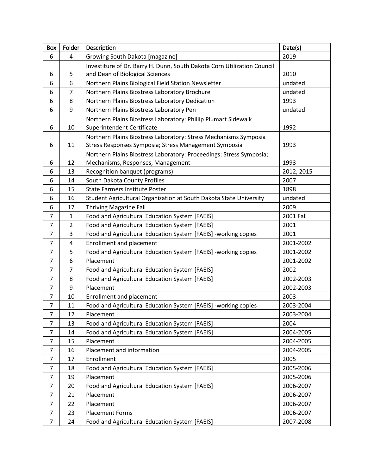| Box                      | Folder         | Description                                                             | Date(s)    |
|--------------------------|----------------|-------------------------------------------------------------------------|------------|
| 6                        | 4              | Growing South Dakota [magazine]                                         | 2019       |
|                          |                | Investiture of Dr. Barry H. Dunn, South Dakota Corn Utilization Council |            |
| 6                        | 5              | and Dean of Biological Sciences                                         | 2010       |
| 6                        | 6              | Northern Plains Biological Field Station Newsletter                     | undated    |
| 6                        | $\overline{7}$ | Northern Plains Biostress Laboratory Brochure                           | undated    |
| 6                        | 8              | Northern Plains Biostress Laboratory Dedication                         | 1993       |
| 6                        | 9              | Northern Plains Biostress Laboratory Pen                                | undated    |
|                          |                | Northern Plains Biostress Laboratory: Phillip Plumart Sidewalk          |            |
| 6                        | 10             | Superintendent Certificate                                              | 1992       |
|                          |                | Northern Plains Biostress Laboratory: Stress Mechanisms Symposia        |            |
| 6                        | 11             | Stress Responses Symposia; Stress Management Symposia                   | 1993       |
|                          |                | Northern Plains Biostress Laboratory: Proceedings; Stress Symposia;     |            |
| 6                        | 12             | Mechanisms, Responses, Management                                       | 1993       |
| 6                        | 13             | Recognition banquet (programs)                                          | 2012, 2015 |
| 6                        | 14             | South Dakota County Profiles                                            | 2007       |
| 6                        | 15             | State Farmers Institute Poster                                          | 1898       |
| 6                        | 16             | Student Agricultural Organization at South Dakota State University      | undated    |
| 6                        | 17             | <b>Thriving Magazine Fall</b>                                           | 2009       |
| $\overline{\mathcal{I}}$ | $\mathbf 1$    | Food and Agricultural Education System [FAEIS]                          | 2001 Fall  |
| $\overline{7}$           | 2              | Food and Agricultural Education System [FAEIS]                          | 2001       |
| $\overline{7}$           | 3              | Food and Agricultural Education System [FAEIS] -working copies          | 2001       |
| $\overline{7}$           | $\overline{4}$ | <b>Enrollment and placement</b>                                         | 2001-2002  |
| $\overline{7}$           | 5              | Food and Agricultural Education System [FAEIS] -working copies          | 2001-2002  |
| $\overline{7}$           | 6              | Placement                                                               | 2001-2002  |
| $\overline{7}$           | $\overline{7}$ | Food and Agricultural Education System [FAEIS]                          | 2002       |
| $\overline{7}$           | 8              | Food and Agricultural Education System [FAEIS]                          | 2002-2003  |
| $\overline{7}$           | 9              | Placement                                                               | 2002-2003  |
| $\overline{7}$           | 10             | <b>Enrollment and placement</b>                                         | 2003       |
| $\overline{7}$           | 11             | Food and Agricultural Education System [FAEIS] -working copies          | 2003-2004  |
| 7                        | 12             | Placement                                                               | 2003-2004  |
| $\overline{7}$           | 13             | Food and Agricultural Education System [FAEIS]                          | 2004       |
| $\overline{7}$           | 14             | Food and Agricultural Education System [FAEIS]                          | 2004-2005  |
| $\overline{7}$           | 15             | Placement                                                               | 2004-2005  |
| 7                        | 16             | Placement and information                                               | 2004-2005  |
| 7                        | 17             | Enrollment                                                              | 2005       |
| 7                        | 18             | Food and Agricultural Education System [FAEIS]                          | 2005-2006  |
| 7                        | 19             | Placement                                                               | 2005-2006  |
| 7                        | 20             | Food and Agricultural Education System [FAEIS]                          | 2006-2007  |
| $\overline{7}$           | 21             | Placement                                                               | 2006-2007  |
| 7                        | 22             | Placement                                                               | 2006-2007  |
| $\overline{7}$           | 23             | <b>Placement Forms</b>                                                  | 2006-2007  |
| 7                        | 24             | Food and Agricultural Education System [FAEIS]                          | 2007-2008  |